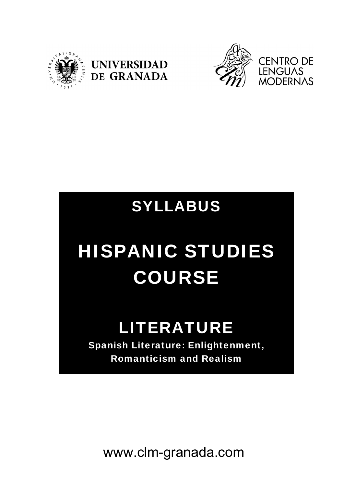





# SYLLABUS

# HISPANIC STUDIES COURSE

# **LITERATURE**

Spanish Literature: Enlightenment, Romanticism and Realism

www.clm-granada.com